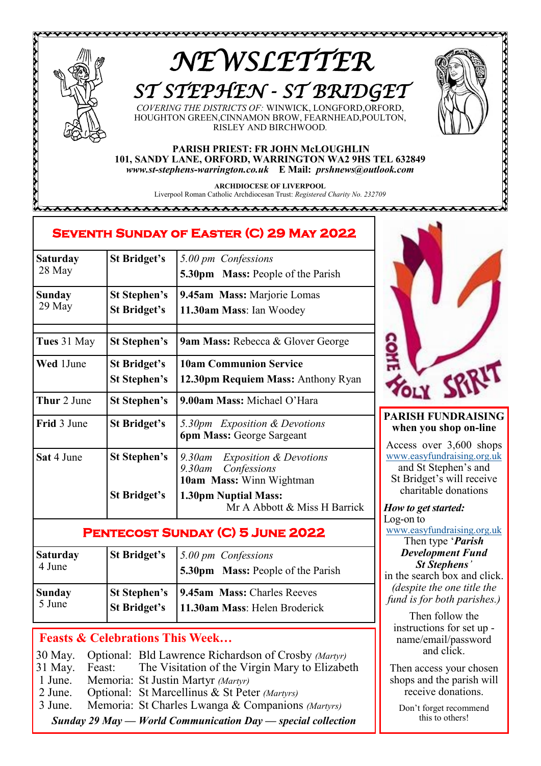

,,,,,,,,,,,,,,,,,,,,,,,,,,,,,

# *NEWSLETTER ST STEPHEN - ST BRIDGET*

*COVERING THE DISTRICTS OF:* WINWICK, LONGFORD,ORFORD, HOUGHTON GREEN,CINNAMON BROW, FEARNHEAD,POULTON, RISLEY AND BIRCHWOOD*.*

#### **PARISH PRIEST: FR JOHN McLOUGHLIN 101, SANDY LANE, ORFORD, WARRINGTON WA2 9HS TEL 632849** *www.st-stephens-warrington.co.uk* **E Mail:** *prshnews@outlook.com*

**ARCHDIOCESE OF LIVERPOOL** Liverpool Roman Catholic Archdiocesan Trust: *Registered Charity No. 232709*

8888888888888888888888888

## **Seventh Sunday of Easter (C) 29 May 2022**

| Saturday         | <b>St Bridget's</b>                 | 5.00 pm Confessions                                                                              |
|------------------|-------------------------------------|--------------------------------------------------------------------------------------------------|
| 28 May           |                                     | <b>5.30pm</b> Mass: People of the Parish                                                         |
| Sunday<br>29 May | <b>St Stephen's</b><br>St Bridget's | 9.45am Mass: Marjorie Lomas<br>11.30am Mass: Ian Woodey                                          |
| Tues 31 May      | St Stephen's                        | <b>9am Mass: Rebecca &amp; Glover George</b>                                                     |
| <b>Wed</b> 1June | St Bridget's<br><b>St Stephen's</b> | <b>10am Communion Service</b><br>12.30pm Requiem Mass: Anthony Ryan                              |
| Thur 2 June      | St Stephen's                        | 9.00am Mass: Michael O'Hara                                                                      |
| Frid 3 June      | St Bridget's                        | 5.30pm Exposition & Devotions<br><b>6pm Mass: George Sargeant</b>                                |
| Sat 4 June       | <b>St Stephen's</b>                 | <i>Exposition &amp; Devotions</i><br>9.30am<br>Confessions<br>9.30am<br>10am Mass: Winn Wightman |
|                  | <b>St Bridget's</b>                 | <b>1.30pm Nuptial Mass:</b><br>Mr A Abbott & Miss H Barrick                                      |

## **Pentecost Sunday (C) 5 June 2022**

| <b>Saturday</b><br>4 June | <b>St Bridget's</b> | 5.00 pm Confessions<br><b>5.30pm</b> Mass: People of the Parish                    |
|---------------------------|---------------------|------------------------------------------------------------------------------------|
| <b>Sunday</b><br>5 June   | <b>St Bridget's</b> | <b>St Stephen's</b>   9.45am Mass: Charles Reeves<br>11.30am Mass: Helen Broderick |

## **Feasts & Celebrations This Week…**

30 May. Optional: Bld Lawrence Richardson of Crosby *(Martyr)* 31 May. Feast: The Visitation of the Virgin Mary to Elizabeth 1 June. Memoria: St Justin Martyr *(Martyr)* 2 June. Optional: St Marcellinus & St Peter *(Martyrs)* 3 June. Memoria: St Charles Lwanga & Companions *(Martyrs) Sunday 29 May — World Communication Day — special collection*



,,,,,,,,,,,,,

### **PARISH FUNDRAISING when you shop on-line**

Access over 3,600 shops [www.easyfundraising.org.uk](Https://www.easyfundraising.org.uk) and St Stephen's and St Bridget's will receive charitable donations

*How to get started:* Log-on to

[www.easyfundraising.org.uk](http://www.easyfundraising.org.uk)

#### Then type '*Parish Development Fund St Stephens'*

in the search box and click. *(despite the one title the fund is for both parishes.)*

Then follow the instructions for set up name/email/password and click.

Then access your chosen shops and the parish will receive donations.

Don't forget recommend this to others!